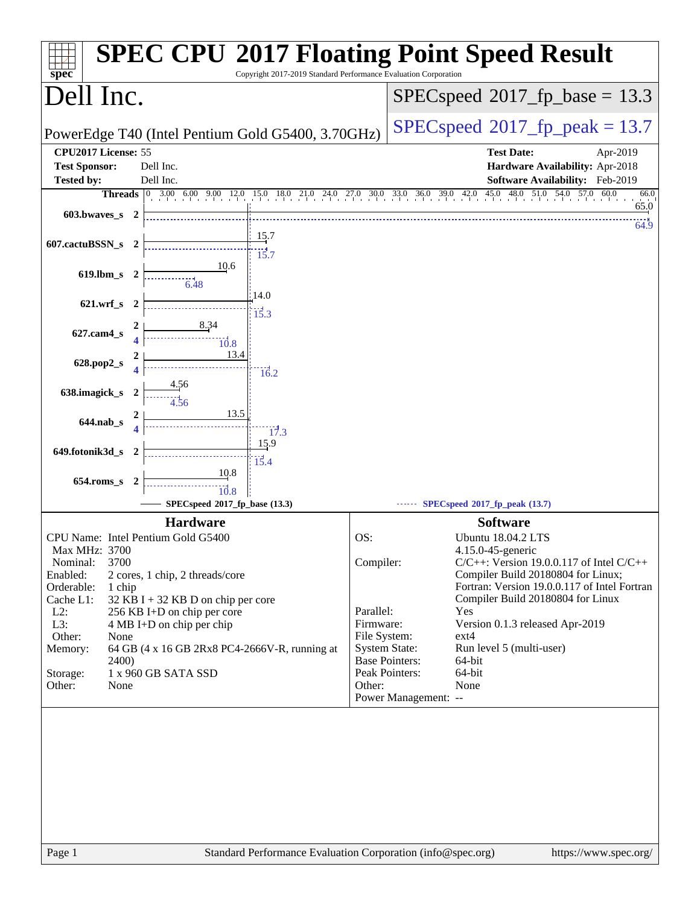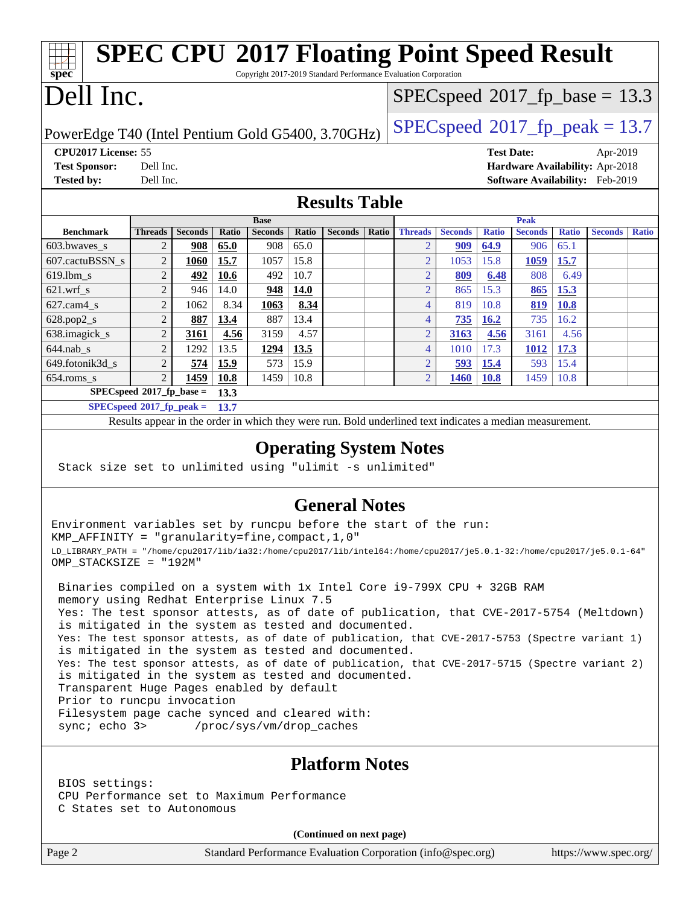| <b>SPEC CPU®2017 Floating Point Speed Result</b>                                                         |                                                     |                |       |                |       |                |                                           |                                  |                |              |                |              |                |              |
|----------------------------------------------------------------------------------------------------------|-----------------------------------------------------|----------------|-------|----------------|-------|----------------|-------------------------------------------|----------------------------------|----------------|--------------|----------------|--------------|----------------|--------------|
| spec<br>Copyright 2017-2019 Standard Performance Evaluation Corporation                                  |                                                     |                |       |                |       |                |                                           |                                  |                |              |                |              |                |              |
| Dell Inc.                                                                                                |                                                     |                |       |                |       |                | $SPEC speed^{\circ}2017\_fp\_base = 13.3$ |                                  |                |              |                |              |                |              |
| PowerEdge T40 (Intel Pentium Gold G5400, 3.70GHz)                                                        |                                                     |                |       |                |       |                | $SPEC speed^{\circ}2017$ _fp_peak = 13.7  |                                  |                |              |                |              |                |              |
| CPU2017 License: 55                                                                                      |                                                     |                |       |                |       |                | <b>Test Date:</b><br>Apr-2019             |                                  |                |              |                |              |                |              |
| Hardware Availability: Apr-2018<br><b>Test Sponsor:</b><br>Dell Inc.                                     |                                                     |                |       |                |       |                |                                           |                                  |                |              |                |              |                |              |
| <b>Tested by:</b>                                                                                        | <b>Software Availability:</b> Feb-2019<br>Dell Inc. |                |       |                |       |                |                                           |                                  |                |              |                |              |                |              |
| <b>Results Table</b>                                                                                     |                                                     |                |       |                |       |                |                                           |                                  |                |              |                |              |                |              |
|                                                                                                          |                                                     |                |       | <b>Base</b>    |       |                |                                           |                                  |                |              | Peak           |              |                |              |
| <b>Benchmark</b>                                                                                         | <b>Threads</b>                                      | <b>Seconds</b> | Ratio | <b>Seconds</b> | Ratio | <b>Seconds</b> | Ratio                                     | <b>Threads</b>                   | <b>Seconds</b> | <b>Ratio</b> | <b>Seconds</b> | <b>Ratio</b> | <b>Seconds</b> | <b>Ratio</b> |
| 603.bwayes s                                                                                             | 2                                                   | 908            | 65.0  | 908            | 65.0  |                |                                           | $\overline{2}$                   | 909            | 64.9         | 906            | 65.1         |                |              |
| 607.cactuBSSN s                                                                                          | $\overline{2}$                                      | 1060           | 15.7  | 1057           | 15.8  |                |                                           | $\overline{2}$<br>$\overline{2}$ | 1053           | 15.8         | 1059           | 15.7         |                |              |
| 619.lbm s                                                                                                | $\overline{c}$                                      | 492            | 10.6  | 492            | 10.7  |                |                                           |                                  | 809            | 6.48         | 808            | 6.49         |                |              |
| $621$ .wrf s                                                                                             | $\overline{c}$                                      | 946            | 14.0  | 948            | 14.0  |                |                                           | $\overline{2}$                   | 865            | 15.3         | 865            | 15.3         |                |              |
| $627.cam4_s$                                                                                             | $\overline{2}$                                      | 1062           | 8.34  | 1063           | 8.34  |                |                                           | $\overline{4}$                   | 819            | 10.8         | 819            | 10.8         |                |              |
| 628.pop2_s                                                                                               | $\overline{2}$                                      | 887            | 13.4  | 887            | 13.4  |                |                                           | 4                                | 735            | 16.2         | 735            | 16.2         |                |              |
| 638.imagick_s                                                                                            | $\overline{c}$                                      | 3161           | 4.56  | 3159           | 4.57  |                |                                           | $\overline{2}$                   | 3163           | 4.56         | 3161           | 4.56         |                |              |
| $644$ .nab s                                                                                             | $\overline{2}$                                      | 1292           | 13.5  | 1294           | 13.5  |                |                                           | $\overline{4}$                   | 1010           | 17.3         | 1012           | 17.3         |                |              |
| 649.fotonik3d s                                                                                          | $\overline{2}$                                      | 574            | 15.9  | 573            | 15.9  |                |                                           | $\overline{2}$                   | 593            | 15.4         | 593            | 15.4         |                |              |
| 654.roms s                                                                                               | $\overline{2}$                                      | 1459           | 10.8  | 1459           | 10.8  |                |                                           | $\overline{2}$                   | 1460           | <b>10.8</b>  | 1459           | 10.8         |                |              |
| $SPECspeed*2017_fp\_base =$<br>13.3                                                                      |                                                     |                |       |                |       |                |                                           |                                  |                |              |                |              |                |              |
| $SPECspeed*2017_fp\_peak =$<br>13.7                                                                      |                                                     |                |       |                |       |                |                                           |                                  |                |              |                |              |                |              |
| Results appear in the order in which they were run. Bold underlined text indicates a median measurement. |                                                     |                |       |                |       |                |                                           |                                  |                |              |                |              |                |              |
|                                                                                                          |                                                     |                |       |                |       |                |                                           |                                  |                |              |                |              |                |              |

#### **[Operating System Notes](http://www.spec.org/auto/cpu2017/Docs/result-fields.html#OperatingSystemNotes)**

Stack size set to unlimited using "ulimit -s unlimited"

#### **[General Notes](http://www.spec.org/auto/cpu2017/Docs/result-fields.html#GeneralNotes)**

Environment variables set by runcpu before the start of the run: KMP\_AFFINITY = "granularity=fine,compact,1,0" LD\_LIBRARY\_PATH = "/home/cpu2017/lib/ia32:/home/cpu2017/lib/intel64:/home/cpu2017/je5.0.1-32:/home/cpu2017/je5.0.1-64" OMP\_STACKSIZE = "192M"

 Binaries compiled on a system with 1x Intel Core i9-799X CPU + 32GB RAM memory using Redhat Enterprise Linux 7.5 Yes: The test sponsor attests, as of date of publication, that CVE-2017-5754 (Meltdown) is mitigated in the system as tested and documented. Yes: The test sponsor attests, as of date of publication, that CVE-2017-5753 (Spectre variant 1) is mitigated in the system as tested and documented. Yes: The test sponsor attests, as of date of publication, that CVE-2017-5715 (Spectre variant 2) is mitigated in the system as tested and documented. Transparent Huge Pages enabled by default Prior to runcpu invocation Filesystem page cache synced and cleared with: sync; echo 3> /proc/sys/vm/drop\_caches

#### **[Platform Notes](http://www.spec.org/auto/cpu2017/Docs/result-fields.html#PlatformNotes)**

 BIOS settings: CPU Performance set to Maximum Performance C States set to Autonomous

**(Continued on next page)**

Page 2 Standard Performance Evaluation Corporation [\(info@spec.org\)](mailto:info@spec.org) <https://www.spec.org/>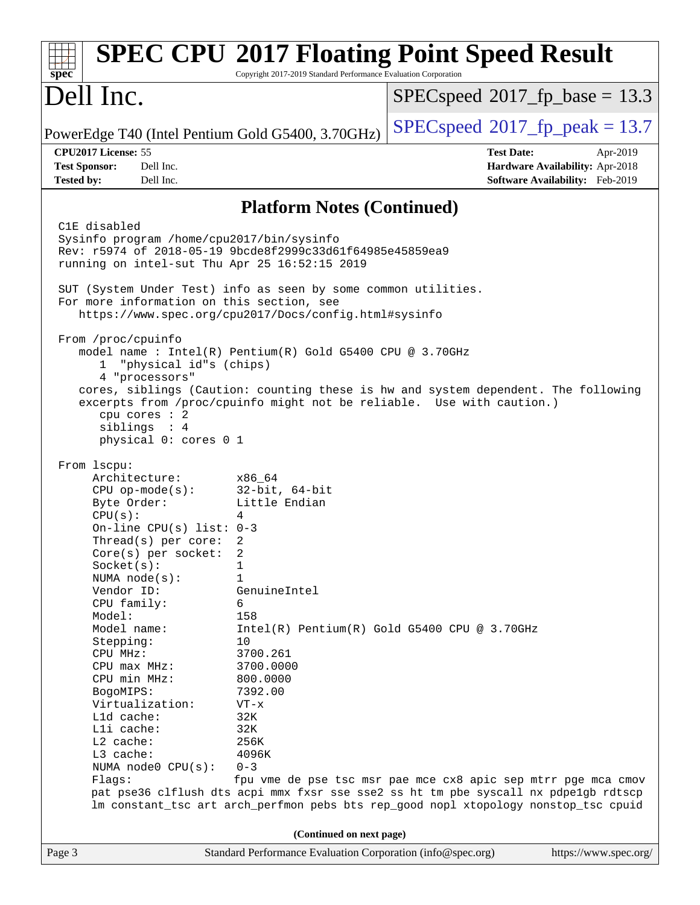| spec <sup>®</sup>                                                                                                                                                                                                                                                                                                                                                                                                                                | Copyright 2017-2019 Standard Performance Evaluation Corporation                                                                                                                                                             | <b>SPEC CPU®2017 Floating Point Speed Result</b>                                                                                                                                                                                                                                            |                                                                                |  |  |  |
|--------------------------------------------------------------------------------------------------------------------------------------------------------------------------------------------------------------------------------------------------------------------------------------------------------------------------------------------------------------------------------------------------------------------------------------------------|-----------------------------------------------------------------------------------------------------------------------------------------------------------------------------------------------------------------------------|---------------------------------------------------------------------------------------------------------------------------------------------------------------------------------------------------------------------------------------------------------------------------------------------|--------------------------------------------------------------------------------|--|--|--|
| Dell Inc.                                                                                                                                                                                                                                                                                                                                                                                                                                        |                                                                                                                                                                                                                             | $SPEC speed^{\circ}2017\_fp\_base = 13.3$                                                                                                                                                                                                                                                   |                                                                                |  |  |  |
| PowerEdge T40 (Intel Pentium Gold G5400, 3.70GHz)                                                                                                                                                                                                                                                                                                                                                                                                |                                                                                                                                                                                                                             | $SPEC speed^{\circ}2017$ [p_peak = 13.7                                                                                                                                                                                                                                                     |                                                                                |  |  |  |
| CPU2017 License: 55<br>Dell Inc.<br><b>Test Sponsor:</b><br>Dell Inc.<br><b>Tested by:</b>                                                                                                                                                                                                                                                                                                                                                       |                                                                                                                                                                                                                             | <b>Test Date:</b>                                                                                                                                                                                                                                                                           | Apr-2019<br>Hardware Availability: Apr-2018<br>Software Availability: Feb-2019 |  |  |  |
| <b>Platform Notes (Continued)</b>                                                                                                                                                                                                                                                                                                                                                                                                                |                                                                                                                                                                                                                             |                                                                                                                                                                                                                                                                                             |                                                                                |  |  |  |
| C1E disabled<br>Sysinfo program /home/cpu2017/bin/sysinfo<br>Rev: r5974 of 2018-05-19 9bcde8f2999c33d61f64985e45859ea9<br>running on intel-sut Thu Apr 25 16:52:15 2019<br>SUT (System Under Test) info as seen by some common utilities.<br>For more information on this section, see<br>From /proc/cpuinfo<br>"physical id"s (chips)<br>1<br>4 "processors"<br>cpu cores : 2<br>siblings : 4<br>physical 0: cores 0 1                          | https://www.spec.org/cpu2017/Docs/config.html#sysinfo<br>model name : Intel(R) Pentium(R) Gold G5400 CPU @ 3.70GHz                                                                                                          | cores, siblings (Caution: counting these is hw and system dependent. The following<br>excerpts from /proc/cpuinfo might not be reliable. Use with caution.)                                                                                                                                 |                                                                                |  |  |  |
| From 1scpu:<br>Architecture:<br>$CPU$ op-mode( $s$ ):<br>Byte Order:<br>CPU(s):<br>On-line CPU(s) list: $0-3$<br>Thread(s) per core:<br>$Core(s)$ per socket:<br>Socket(s):<br>NUMA $node(s)$ :<br>Vendor ID:<br>CPU family:<br>Model:<br>Model name:<br>Stepping:<br>CPU MHz:<br>$CPU$ max $MHz$ :<br>CPU min MHz:<br>BogoMIPS:<br>Virtualization:<br>L1d cache:<br>Lli cache:<br>$L2$ cache:<br>L3 cache:<br>NUMA $node0$ $CPU(s)$ :<br>Flags: | x86 64<br>$32$ -bit, $64$ -bit<br>Little Endian<br>4<br>2<br>2<br>1<br>$\mathbf{1}$<br>GenuineIntel<br>6<br>158<br>10<br>3700.261<br>3700.0000<br>800.0000<br>7392.00<br>$VT - x$<br>32K<br>32K<br>256K<br>4096K<br>$0 - 3$ | Intel(R) Pentium(R) Gold G5400 CPU @ 3.70GHz<br>fpu vme de pse tsc msr pae mce cx8 apic sep mtrr pge mca cmov<br>pat pse36 clflush dts acpi mmx fxsr sse sse2 ss ht tm pbe syscall nx pdpe1gb rdtscp<br>lm constant_tsc art arch_perfmon pebs bts rep_good nopl xtopology nonstop_tsc cpuid |                                                                                |  |  |  |
|                                                                                                                                                                                                                                                                                                                                                                                                                                                  | (Continued on next page)                                                                                                                                                                                                    |                                                                                                                                                                                                                                                                                             | https://www.spec.org/                                                          |  |  |  |
| Page 3                                                                                                                                                                                                                                                                                                                                                                                                                                           | Standard Performance Evaluation Corporation (info@spec.org)                                                                                                                                                                 |                                                                                                                                                                                                                                                                                             |                                                                                |  |  |  |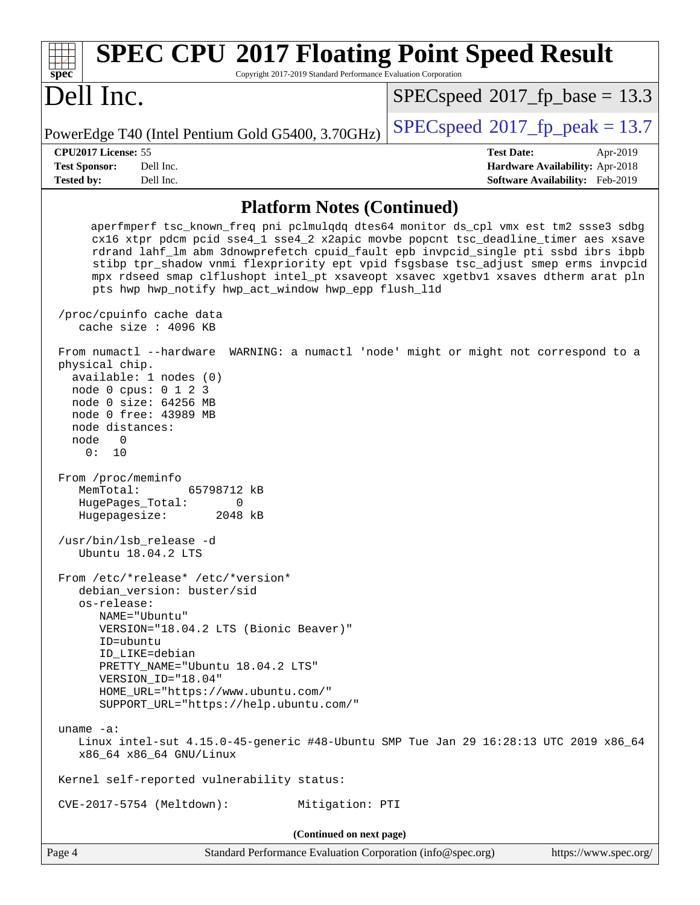| <b>SPEC CPU®2017 Floating Point Speed Result</b><br>Copyright 2017-2019 Standard Performance Evaluation Corporation<br>spec <sup>®</sup>                                                                                                                                                                                                                                                                                                                                                           |                                                                  |  |  |  |  |  |
|----------------------------------------------------------------------------------------------------------------------------------------------------------------------------------------------------------------------------------------------------------------------------------------------------------------------------------------------------------------------------------------------------------------------------------------------------------------------------------------------------|------------------------------------------------------------------|--|--|--|--|--|
| Dell Inc.                                                                                                                                                                                                                                                                                                                                                                                                                                                                                          | $SPEC speed^{\circ}2017\_fp\_base = 13.3$                        |  |  |  |  |  |
| PowerEdge T40 (Intel Pentium Gold G5400, 3.70GHz)                                                                                                                                                                                                                                                                                                                                                                                                                                                  | $SPEC speed^{\circ}2017$ [p_peak = 13.7                          |  |  |  |  |  |
| CPU2017 License: 55<br><b>Test Sponsor:</b><br>Dell Inc.                                                                                                                                                                                                                                                                                                                                                                                                                                           | <b>Test Date:</b><br>Apr-2019<br>Hardware Availability: Apr-2018 |  |  |  |  |  |
| <b>Tested by:</b><br>Dell Inc.                                                                                                                                                                                                                                                                                                                                                                                                                                                                     | Software Availability: Feb-2019                                  |  |  |  |  |  |
| <b>Platform Notes (Continued)</b>                                                                                                                                                                                                                                                                                                                                                                                                                                                                  |                                                                  |  |  |  |  |  |
| aperfmperf tsc_known_freq pni pclmulqdq dtes64 monitor ds_cpl vmx est tm2 ssse3 sdbg<br>cx16 xtpr pdcm pcid sse4_1 sse4_2 x2apic movbe popcnt tsc_deadline_timer aes xsave<br>rdrand lahf_lm abm 3dnowprefetch cpuid_fault epb invpcid_single pti ssbd ibrs ibpb<br>stibp tpr_shadow vnmi flexpriority ept vpid fsgsbase tsc_adjust smep erms invpcid<br>mpx rdseed smap clflushopt intel_pt xsaveopt xsavec xgetbvl xsaves dtherm arat pln<br>pts hwp hwp_notify hwp_act_window hwp_epp flush_lld |                                                                  |  |  |  |  |  |
| /proc/cpuinfo cache data<br>cache size : 4096 KB                                                                                                                                                                                                                                                                                                                                                                                                                                                   |                                                                  |  |  |  |  |  |
| From numactl --hardware<br>physical chip.<br>available: 1 nodes (0)<br>node 0 cpus: 0 1 2 3<br>node 0 size: 64256 MB<br>node 0 free: 43989 MB<br>node distances:<br>node<br>0<br>10<br>0 :<br>From /proc/meminfo<br>MemTotal:<br>65798712 kB<br>HugePages_Total:<br>0<br>Hugepagesize:<br>2048 kB<br>/usr/bin/lsb_release -d<br>Ubuntu 18.04.2 LTS<br>From /etc/*release* /etc/*version*<br>debian version: buster/sid                                                                             | WARNING: a numactl 'node' might or might not correspond to a     |  |  |  |  |  |
| os-release:<br>NAME="Ubuntu"<br>VERSION="18.04.2 LTS (Bionic Beaver)"<br>ID=ubuntu<br>ID LIKE=debian<br>PRETTY NAME="Ubuntu 18.04.2 LTS"                                                                                                                                                                                                                                                                                                                                                           |                                                                  |  |  |  |  |  |
| VERSION ID="18.04"<br>HOME_URL="https://www.ubuntu.com/"<br>SUPPORT_URL="https://help.ubuntu.com/"                                                                                                                                                                                                                                                                                                                                                                                                 |                                                                  |  |  |  |  |  |
| uname $-a$ :<br>Linux intel-sut 4.15.0-45-generic #48-Ubuntu SMP Tue Jan 29 16:28:13 UTC 2019 x86_64<br>x86_64 x86_64 GNU/Linux                                                                                                                                                                                                                                                                                                                                                                    |                                                                  |  |  |  |  |  |
| Kernel self-reported vulnerability status:                                                                                                                                                                                                                                                                                                                                                                                                                                                         |                                                                  |  |  |  |  |  |
| Mitigation: PTI<br>$CVE-2017-5754$ (Meltdown):                                                                                                                                                                                                                                                                                                                                                                                                                                                     |                                                                  |  |  |  |  |  |
| (Continued on next page)                                                                                                                                                                                                                                                                                                                                                                                                                                                                           |                                                                  |  |  |  |  |  |
| Page 4<br>Standard Performance Evaluation Corporation (info@spec.org)                                                                                                                                                                                                                                                                                                                                                                                                                              | https://www.spec.org/                                            |  |  |  |  |  |

 $\mathbf{I}$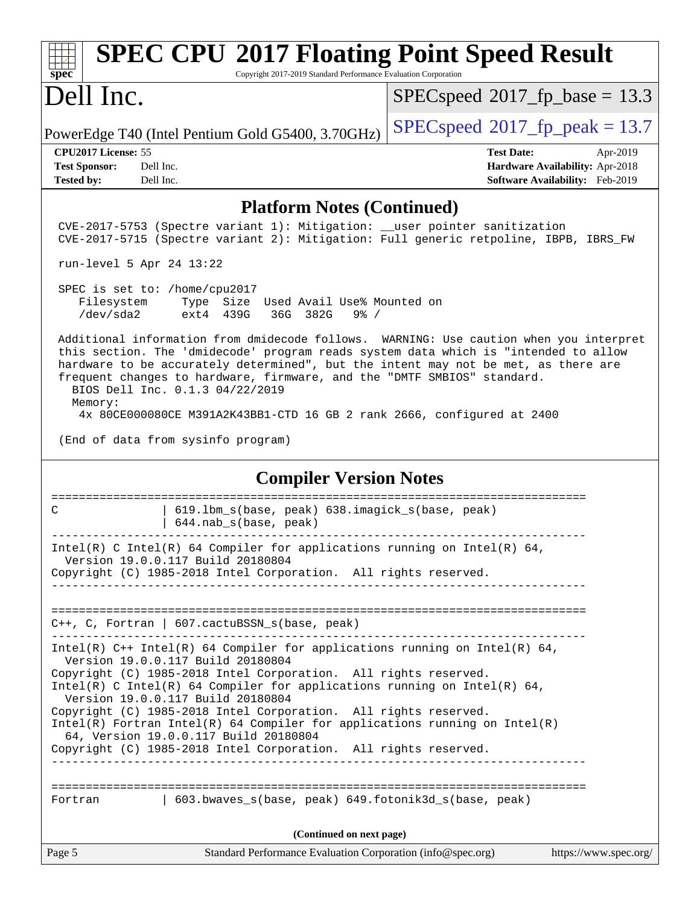| <b>SPEC CPU®2017 Floating Point Speed Result</b><br>Copyright 2017-2019 Standard Performance Evaluation Corporation<br>$spec^*$                                                                                                                                                                                                                                                                                                                                                                                                                                    |                                                                                                     |  |  |  |  |  |
|--------------------------------------------------------------------------------------------------------------------------------------------------------------------------------------------------------------------------------------------------------------------------------------------------------------------------------------------------------------------------------------------------------------------------------------------------------------------------------------------------------------------------------------------------------------------|-----------------------------------------------------------------------------------------------------|--|--|--|--|--|
| Dell Inc.                                                                                                                                                                                                                                                                                                                                                                                                                                                                                                                                                          | $SPEC speed$ <sup>®</sup> 2017_fp_base = 13.3                                                       |  |  |  |  |  |
| PowerEdge T40 (Intel Pentium Gold G5400, 3.70GHz)                                                                                                                                                                                                                                                                                                                                                                                                                                                                                                                  | $SPEC speed^{\circ}2017$ _fp_peak = 13.7                                                            |  |  |  |  |  |
| CPU2017 License: 55<br><b>Test Sponsor:</b><br>Dell Inc.<br>Dell Inc.<br><b>Tested by:</b>                                                                                                                                                                                                                                                                                                                                                                                                                                                                         | <b>Test Date:</b><br>Apr-2019<br>Hardware Availability: Apr-2018<br>Software Availability: Feb-2019 |  |  |  |  |  |
| <b>Platform Notes (Continued)</b>                                                                                                                                                                                                                                                                                                                                                                                                                                                                                                                                  |                                                                                                     |  |  |  |  |  |
| CVE-2017-5753 (Spectre variant 1): Mitigation: __user pointer sanitization<br>CVE-2017-5715 (Spectre variant 2): Mitigation: Full generic retpoline, IBPB, IBRS_FW                                                                                                                                                                                                                                                                                                                                                                                                 |                                                                                                     |  |  |  |  |  |
| run-level 5 Apr 24 13:22                                                                                                                                                                                                                                                                                                                                                                                                                                                                                                                                           |                                                                                                     |  |  |  |  |  |
| SPEC is set to: /home/cpu2017<br>Filesystem<br>Type Size Used Avail Use% Mounted on<br>/dev/sda2<br>36G<br>382G<br>ext4 439G<br>$9\frac{8}{10}$ /                                                                                                                                                                                                                                                                                                                                                                                                                  |                                                                                                     |  |  |  |  |  |
| Additional information from dmidecode follows. WARNING: Use caution when you interpret<br>this section. The 'dmidecode' program reads system data which is "intended to allow<br>hardware to be accurately determined", but the intent may not be met, as there are<br>frequent changes to hardware, firmware, and the "DMTF SMBIOS" standard.<br>BIOS Dell Inc. 0.1.3 04/22/2019<br>Memory:<br>4x 80CE000080CE M391A2K43BB1-CTD 16 GB 2 rank 2666, configured at 2400                                                                                             |                                                                                                     |  |  |  |  |  |
| (End of data from sysinfo program)                                                                                                                                                                                                                                                                                                                                                                                                                                                                                                                                 |                                                                                                     |  |  |  |  |  |
| <b>Compiler Version Notes</b>                                                                                                                                                                                                                                                                                                                                                                                                                                                                                                                                      |                                                                                                     |  |  |  |  |  |
| C<br>619.1bm_s(base, peak) 638.imagick_s(base, peak)<br>644.nab_s(base, peak)                                                                                                                                                                                                                                                                                                                                                                                                                                                                                      |                                                                                                     |  |  |  |  |  |
| Intel(R) C Intel(R) 64 Compiler for applications running on Intel(R) 64,<br>Version 19.0.0.117 Build 20180804<br>Copyright (C) 1985-2018 Intel Corporation. All rights reserved.                                                                                                                                                                                                                                                                                                                                                                                   |                                                                                                     |  |  |  |  |  |
| $C++$ , C, Fortran   607.cactuBSSN_s(base, peak)                                                                                                                                                                                                                                                                                                                                                                                                                                                                                                                   |                                                                                                     |  |  |  |  |  |
| Intel(R) C++ Intel(R) 64 Compiler for applications running on Intel(R) 64,<br>Version 19.0.0.117 Build 20180804<br>Copyright (C) 1985-2018 Intel Corporation. All rights reserved.<br>Intel(R) C Intel(R) 64 Compiler for applications running on Intel(R) 64,<br>Version 19.0.0.117 Build 20180804<br>Copyright (C) 1985-2018 Intel Corporation. All rights reserved.<br>$Intel(R)$ Fortran Intel(R) 64 Compiler for applications running on Intel(R)<br>64, Version 19.0.0.117 Build 20180804<br>Copyright (C) 1985-2018 Intel Corporation. All rights reserved. |                                                                                                     |  |  |  |  |  |
| 603.bwaves_s(base, peak) 649.fotonik3d_s(base, peak)<br>Fortran                                                                                                                                                                                                                                                                                                                                                                                                                                                                                                    |                                                                                                     |  |  |  |  |  |
| (Continued on next page)                                                                                                                                                                                                                                                                                                                                                                                                                                                                                                                                           |                                                                                                     |  |  |  |  |  |
| Page 5<br>Standard Performance Evaluation Corporation (info@spec.org)                                                                                                                                                                                                                                                                                                                                                                                                                                                                                              | https://www.spec.org/                                                                               |  |  |  |  |  |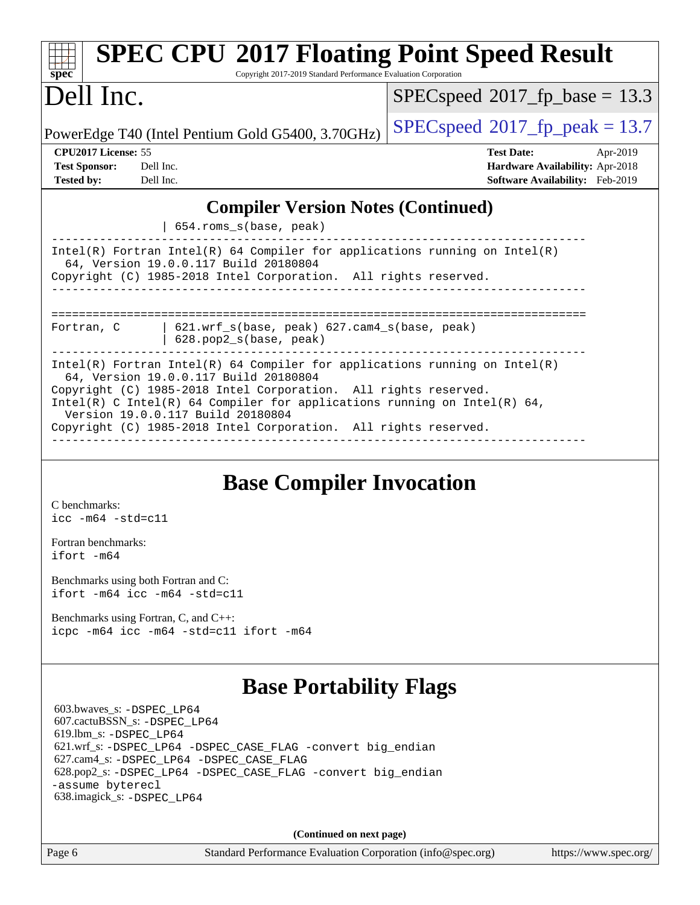| Dell Inc.                                                                                                                                                                                                                                                                                                                                                                    | $SPEC speed^{\circ}2017$ fp base = 13.3                                                                    |  |  |  |  |  |
|------------------------------------------------------------------------------------------------------------------------------------------------------------------------------------------------------------------------------------------------------------------------------------------------------------------------------------------------------------------------------|------------------------------------------------------------------------------------------------------------|--|--|--|--|--|
| PowerEdge T40 (Intel Pentium Gold G5400, 3.70GHz)                                                                                                                                                                                                                                                                                                                            | $SPEC speed^{\circ}2017$ fp peak = 13.7                                                                    |  |  |  |  |  |
| CPU <sub>2017</sub> License: 55<br><b>Test Sponsor:</b><br>Dell Inc.<br><b>Tested by:</b><br>Dell Inc.                                                                                                                                                                                                                                                                       | <b>Test Date:</b><br>Apr-2019<br>Hardware Availability: Apr-2018<br><b>Software Availability:</b> Feb-2019 |  |  |  |  |  |
| <b>Compiler Version Notes (Continued)</b><br>654.roms_s(base, peak)                                                                                                                                                                                                                                                                                                          |                                                                                                            |  |  |  |  |  |
| $Intel(R)$ Fortran Intel(R) 64 Compiler for applications running on Intel(R)<br>64, Version 19.0.0.117 Build 20180804<br>Copyright (C) 1985-2018 Intel Corporation. All rights reserved.                                                                                                                                                                                     |                                                                                                            |  |  |  |  |  |
| ==================================<br>$621.wrf_s(base, peak)$ $627.cam4_s(base, peak)$<br>Fortran, C<br>628.pop2_s(base, peak)                                                                                                                                                                                                                                               |                                                                                                            |  |  |  |  |  |
| $Intel(R)$ Fortran Intel(R) 64 Compiler for applications running on Intel(R)<br>64, Version 19.0.0.117 Build 20180804<br>Copyright (C) 1985-2018 Intel Corporation. All rights reserved.<br>Intel(R) C Intel(R) 64 Compiler for applications running on Intel(R) 64,<br>Version 19.0.0.117 Build 20180804<br>Copyright (C) 1985-2018 Intel Corporation. All rights reserved. |                                                                                                            |  |  |  |  |  |

[C benchmarks](http://www.spec.org/auto/cpu2017/Docs/result-fields.html#Cbenchmarks): [icc -m64 -std=c11](http://www.spec.org/cpu2017/results/res2019q3/cpu2017-20190831-17325.flags.html#user_CCbase_intel_icc_64bit_c11_33ee0cdaae7deeeab2a9725423ba97205ce30f63b9926c2519791662299b76a0318f32ddfffdc46587804de3178b4f9328c46fa7c2b0cd779d7a61945c91cd35)

[Fortran benchmarks](http://www.spec.org/auto/cpu2017/Docs/result-fields.html#Fortranbenchmarks): [ifort -m64](http://www.spec.org/cpu2017/results/res2019q3/cpu2017-20190831-17325.flags.html#user_FCbase_intel_ifort_64bit_24f2bb282fbaeffd6157abe4f878425411749daecae9a33200eee2bee2fe76f3b89351d69a8130dd5949958ce389cf37ff59a95e7a40d588e8d3a57e0c3fd751)

[Benchmarks using both Fortran and C](http://www.spec.org/auto/cpu2017/Docs/result-fields.html#BenchmarksusingbothFortranandC): [ifort -m64](http://www.spec.org/cpu2017/results/res2019q3/cpu2017-20190831-17325.flags.html#user_CC_FCbase_intel_ifort_64bit_24f2bb282fbaeffd6157abe4f878425411749daecae9a33200eee2bee2fe76f3b89351d69a8130dd5949958ce389cf37ff59a95e7a40d588e8d3a57e0c3fd751) [icc -m64 -std=c11](http://www.spec.org/cpu2017/results/res2019q3/cpu2017-20190831-17325.flags.html#user_CC_FCbase_intel_icc_64bit_c11_33ee0cdaae7deeeab2a9725423ba97205ce30f63b9926c2519791662299b76a0318f32ddfffdc46587804de3178b4f9328c46fa7c2b0cd779d7a61945c91cd35)

[Benchmarks using Fortran, C, and C++:](http://www.spec.org/auto/cpu2017/Docs/result-fields.html#BenchmarksusingFortranCandCXX) [icpc -m64](http://www.spec.org/cpu2017/results/res2019q3/cpu2017-20190831-17325.flags.html#user_CC_CXX_FCbase_intel_icpc_64bit_4ecb2543ae3f1412ef961e0650ca070fec7b7afdcd6ed48761b84423119d1bf6bdf5cad15b44d48e7256388bc77273b966e5eb805aefd121eb22e9299b2ec9d9) [icc -m64 -std=c11](http://www.spec.org/cpu2017/results/res2019q3/cpu2017-20190831-17325.flags.html#user_CC_CXX_FCbase_intel_icc_64bit_c11_33ee0cdaae7deeeab2a9725423ba97205ce30f63b9926c2519791662299b76a0318f32ddfffdc46587804de3178b4f9328c46fa7c2b0cd779d7a61945c91cd35) [ifort -m64](http://www.spec.org/cpu2017/results/res2019q3/cpu2017-20190831-17325.flags.html#user_CC_CXX_FCbase_intel_ifort_64bit_24f2bb282fbaeffd6157abe4f878425411749daecae9a33200eee2bee2fe76f3b89351d69a8130dd5949958ce389cf37ff59a95e7a40d588e8d3a57e0c3fd751)

### **[Base Portability Flags](http://www.spec.org/auto/cpu2017/Docs/result-fields.html#BasePortabilityFlags)**

 603.bwaves\_s: [-DSPEC\\_LP64](http://www.spec.org/cpu2017/results/res2019q3/cpu2017-20190831-17325.flags.html#suite_basePORTABILITY603_bwaves_s_DSPEC_LP64) 607.cactuBSSN\_s: [-DSPEC\\_LP64](http://www.spec.org/cpu2017/results/res2019q3/cpu2017-20190831-17325.flags.html#suite_basePORTABILITY607_cactuBSSN_s_DSPEC_LP64) 619.lbm\_s: [-DSPEC\\_LP64](http://www.spec.org/cpu2017/results/res2019q3/cpu2017-20190831-17325.flags.html#suite_basePORTABILITY619_lbm_s_DSPEC_LP64) 621.wrf\_s: [-DSPEC\\_LP64](http://www.spec.org/cpu2017/results/res2019q3/cpu2017-20190831-17325.flags.html#suite_basePORTABILITY621_wrf_s_DSPEC_LP64) [-DSPEC\\_CASE\\_FLAG](http://www.spec.org/cpu2017/results/res2019q3/cpu2017-20190831-17325.flags.html#b621.wrf_s_baseCPORTABILITY_DSPEC_CASE_FLAG) [-convert big\\_endian](http://www.spec.org/cpu2017/results/res2019q3/cpu2017-20190831-17325.flags.html#user_baseFPORTABILITY621_wrf_s_convert_big_endian_c3194028bc08c63ac5d04de18c48ce6d347e4e562e8892b8bdbdc0214820426deb8554edfa529a3fb25a586e65a3d812c835984020483e7e73212c4d31a38223) 627.cam4\_s: [-DSPEC\\_LP64](http://www.spec.org/cpu2017/results/res2019q3/cpu2017-20190831-17325.flags.html#suite_basePORTABILITY627_cam4_s_DSPEC_LP64) [-DSPEC\\_CASE\\_FLAG](http://www.spec.org/cpu2017/results/res2019q3/cpu2017-20190831-17325.flags.html#b627.cam4_s_baseCPORTABILITY_DSPEC_CASE_FLAG) 628.pop2\_s: [-DSPEC\\_LP64](http://www.spec.org/cpu2017/results/res2019q3/cpu2017-20190831-17325.flags.html#suite_basePORTABILITY628_pop2_s_DSPEC_LP64) [-DSPEC\\_CASE\\_FLAG](http://www.spec.org/cpu2017/results/res2019q3/cpu2017-20190831-17325.flags.html#b628.pop2_s_baseCPORTABILITY_DSPEC_CASE_FLAG) [-convert big\\_endian](http://www.spec.org/cpu2017/results/res2019q3/cpu2017-20190831-17325.flags.html#user_baseFPORTABILITY628_pop2_s_convert_big_endian_c3194028bc08c63ac5d04de18c48ce6d347e4e562e8892b8bdbdc0214820426deb8554edfa529a3fb25a586e65a3d812c835984020483e7e73212c4d31a38223) [-assume byterecl](http://www.spec.org/cpu2017/results/res2019q3/cpu2017-20190831-17325.flags.html#user_baseFPORTABILITY628_pop2_s_assume_byterecl_7e47d18b9513cf18525430bbf0f2177aa9bf368bc7a059c09b2c06a34b53bd3447c950d3f8d6c70e3faf3a05c8557d66a5798b567902e8849adc142926523472) 638.imagick\_s: [-DSPEC\\_LP64](http://www.spec.org/cpu2017/results/res2019q3/cpu2017-20190831-17325.flags.html#suite_basePORTABILITY638_imagick_s_DSPEC_LP64)

**(Continued on next page)**

Page 6 Standard Performance Evaluation Corporation [\(info@spec.org\)](mailto:info@spec.org) <https://www.spec.org/>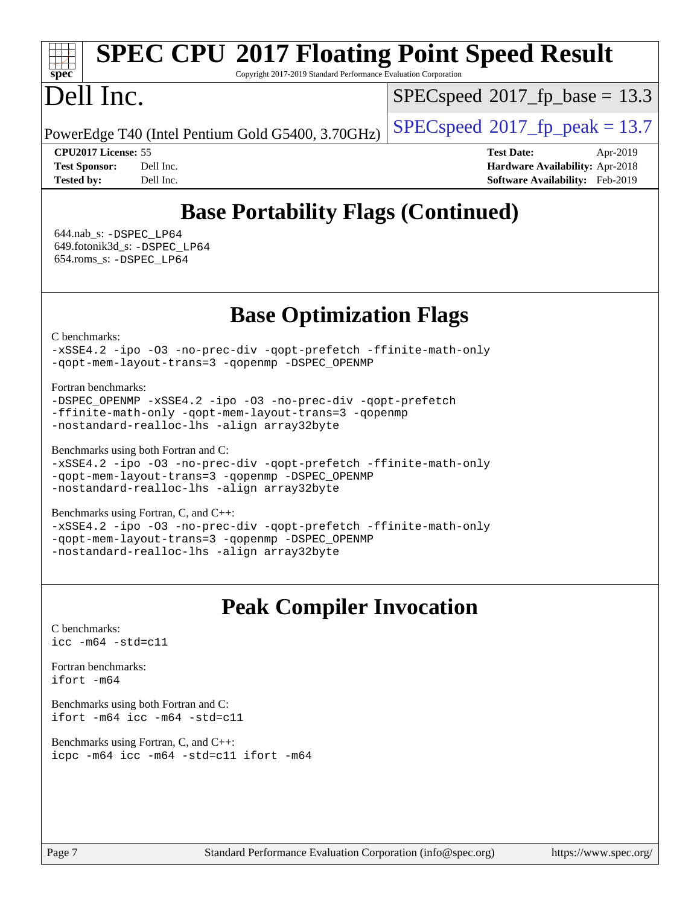# **[SPEC CPU](http://www.spec.org/auto/cpu2017/Docs/result-fields.html#SPECCPU2017FloatingPointSpeedResult)[2017 Floating Point Speed Result](http://www.spec.org/auto/cpu2017/Docs/result-fields.html#SPECCPU2017FloatingPointSpeedResult)**

Copyright 2017-2019 Standard Performance Evaluation Corporation

## Dell Inc.

**[spec](http://www.spec.org/)**

 $SPECspeed^{\circ}2017\_fp\_base = 13.3$  $SPECspeed^{\circ}2017\_fp\_base = 13.3$ 

PowerEdge T40 (Intel Pentium Gold G5400, 3.70GHz)  $\left|$  [SPECspeed](http://www.spec.org/auto/cpu2017/Docs/result-fields.html#SPECspeed2017fppeak)<sup>®</sup>[2017\\_fp\\_peak = 1](http://www.spec.org/auto/cpu2017/Docs/result-fields.html#SPECspeed2017fppeak)3.7

**[CPU2017 License:](http://www.spec.org/auto/cpu2017/Docs/result-fields.html#CPU2017License)** 55 **[Test Date:](http://www.spec.org/auto/cpu2017/Docs/result-fields.html#TestDate)** Apr-2019 **[Test Sponsor:](http://www.spec.org/auto/cpu2017/Docs/result-fields.html#TestSponsor)** Dell Inc. **[Hardware Availability:](http://www.spec.org/auto/cpu2017/Docs/result-fields.html#HardwareAvailability)** Apr-2018 **[Tested by:](http://www.spec.org/auto/cpu2017/Docs/result-fields.html#Testedby)** Dell Inc. **[Software Availability:](http://www.spec.org/auto/cpu2017/Docs/result-fields.html#SoftwareAvailability)** Feb-2019

## **[Base Portability Flags \(Continued\)](http://www.spec.org/auto/cpu2017/Docs/result-fields.html#BasePortabilityFlags)**

 644.nab\_s: [-DSPEC\\_LP64](http://www.spec.org/cpu2017/results/res2019q3/cpu2017-20190831-17325.flags.html#suite_basePORTABILITY644_nab_s_DSPEC_LP64) 649.fotonik3d\_s: [-DSPEC\\_LP64](http://www.spec.org/cpu2017/results/res2019q3/cpu2017-20190831-17325.flags.html#suite_basePORTABILITY649_fotonik3d_s_DSPEC_LP64) 654.roms\_s: [-DSPEC\\_LP64](http://www.spec.org/cpu2017/results/res2019q3/cpu2017-20190831-17325.flags.html#suite_basePORTABILITY654_roms_s_DSPEC_LP64)

**[Base Optimization Flags](http://www.spec.org/auto/cpu2017/Docs/result-fields.html#BaseOptimizationFlags)**

[C benchmarks](http://www.spec.org/auto/cpu2017/Docs/result-fields.html#Cbenchmarks):

[-xSSE4.2](http://www.spec.org/cpu2017/results/res2019q3/cpu2017-20190831-17325.flags.html#user_CCbase_f-xSSE42_d85b2ac37ddc90662d11f1a4a8dc959d40ee6b8c1b95cdec45efdeb6594938334ecec49699063ec518cad6ffb0ae5f89c6821e9beeb549020603d53f71a41bf5) [-ipo](http://www.spec.org/cpu2017/results/res2019q3/cpu2017-20190831-17325.flags.html#user_CCbase_f-ipo) [-O3](http://www.spec.org/cpu2017/results/res2019q3/cpu2017-20190831-17325.flags.html#user_CCbase_f-O3) [-no-prec-div](http://www.spec.org/cpu2017/results/res2019q3/cpu2017-20190831-17325.flags.html#user_CCbase_f-no-prec-div) [-qopt-prefetch](http://www.spec.org/cpu2017/results/res2019q3/cpu2017-20190831-17325.flags.html#user_CCbase_f-qopt-prefetch) [-ffinite-math-only](http://www.spec.org/cpu2017/results/res2019q3/cpu2017-20190831-17325.flags.html#user_CCbase_f_finite_math_only_cb91587bd2077682c4b38af759c288ed7c732db004271a9512da14a4f8007909a5f1427ecbf1a0fb78ff2a814402c6114ac565ca162485bbcae155b5e4258871) [-qopt-mem-layout-trans=3](http://www.spec.org/cpu2017/results/res2019q3/cpu2017-20190831-17325.flags.html#user_CCbase_f-qopt-mem-layout-trans) [-qopenmp](http://www.spec.org/cpu2017/results/res2019q3/cpu2017-20190831-17325.flags.html#user_CCbase_qopenmp_16be0c44f24f464004c6784a7acb94aca937f053568ce72f94b139a11c7c168634a55f6653758ddd83bcf7b8463e8028bb0b48b77bcddc6b78d5d95bb1df2967) [-DSPEC\\_OPENMP](http://www.spec.org/cpu2017/results/res2019q3/cpu2017-20190831-17325.flags.html#suite_CCbase_DSPEC_OPENMP)

[Fortran benchmarks](http://www.spec.org/auto/cpu2017/Docs/result-fields.html#Fortranbenchmarks):

```
-DSPEC_OPENMP -xSSE4.2 -ipo -O3 -no-prec-div -qopt-prefetch
-ffinite-math-only -qopt-mem-layout-trans=3 -qopenmp
-nostandard-realloc-lhs -align array32byte
```
[Benchmarks using both Fortran and C](http://www.spec.org/auto/cpu2017/Docs/result-fields.html#BenchmarksusingbothFortranandC):

```
-xSSE4.2 -ipo -O3 -no-prec-div -qopt-prefetch -ffinite-math-only
-qopt-mem-layout-trans=3 -qopenmp -DSPEC_OPENMP
-nostandard-realloc-lhs -align array32byte
```
[Benchmarks using Fortran, C, and C++:](http://www.spec.org/auto/cpu2017/Docs/result-fields.html#BenchmarksusingFortranCandCXX)

[-xSSE4.2](http://www.spec.org/cpu2017/results/res2019q3/cpu2017-20190831-17325.flags.html#user_CC_CXX_FCbase_f-xSSE42_d85b2ac37ddc90662d11f1a4a8dc959d40ee6b8c1b95cdec45efdeb6594938334ecec49699063ec518cad6ffb0ae5f89c6821e9beeb549020603d53f71a41bf5) [-ipo](http://www.spec.org/cpu2017/results/res2019q3/cpu2017-20190831-17325.flags.html#user_CC_CXX_FCbase_f-ipo) [-O3](http://www.spec.org/cpu2017/results/res2019q3/cpu2017-20190831-17325.flags.html#user_CC_CXX_FCbase_f-O3) [-no-prec-div](http://www.spec.org/cpu2017/results/res2019q3/cpu2017-20190831-17325.flags.html#user_CC_CXX_FCbase_f-no-prec-div) [-qopt-prefetch](http://www.spec.org/cpu2017/results/res2019q3/cpu2017-20190831-17325.flags.html#user_CC_CXX_FCbase_f-qopt-prefetch) [-ffinite-math-only](http://www.spec.org/cpu2017/results/res2019q3/cpu2017-20190831-17325.flags.html#user_CC_CXX_FCbase_f_finite_math_only_cb91587bd2077682c4b38af759c288ed7c732db004271a9512da14a4f8007909a5f1427ecbf1a0fb78ff2a814402c6114ac565ca162485bbcae155b5e4258871) [-qopt-mem-layout-trans=3](http://www.spec.org/cpu2017/results/res2019q3/cpu2017-20190831-17325.flags.html#user_CC_CXX_FCbase_f-qopt-mem-layout-trans) [-qopenmp](http://www.spec.org/cpu2017/results/res2019q3/cpu2017-20190831-17325.flags.html#user_CC_CXX_FCbase_qopenmp_16be0c44f24f464004c6784a7acb94aca937f053568ce72f94b139a11c7c168634a55f6653758ddd83bcf7b8463e8028bb0b48b77bcddc6b78d5d95bb1df2967) [-DSPEC\\_OPENMP](http://www.spec.org/cpu2017/results/res2019q3/cpu2017-20190831-17325.flags.html#suite_CC_CXX_FCbase_DSPEC_OPENMP) [-nostandard-realloc-lhs](http://www.spec.org/cpu2017/results/res2019q3/cpu2017-20190831-17325.flags.html#user_CC_CXX_FCbase_f_2003_std_realloc_82b4557e90729c0f113870c07e44d33d6f5a304b4f63d4c15d2d0f1fab99f5daaed73bdb9275d9ae411527f28b936061aa8b9c8f2d63842963b95c9dd6426b8a) [-align array32byte](http://www.spec.org/cpu2017/results/res2019q3/cpu2017-20190831-17325.flags.html#user_CC_CXX_FCbase_align_array32byte_b982fe038af199962ba9a80c053b8342c548c85b40b8e86eb3cc33dee0d7986a4af373ac2d51c3f7cf710a18d62fdce2948f201cd044323541f22fc0fffc51b6)

### **[Peak Compiler Invocation](http://www.spec.org/auto/cpu2017/Docs/result-fields.html#PeakCompilerInvocation)**

[C benchmarks](http://www.spec.org/auto/cpu2017/Docs/result-fields.html#Cbenchmarks): [icc -m64 -std=c11](http://www.spec.org/cpu2017/results/res2019q3/cpu2017-20190831-17325.flags.html#user_CCpeak_intel_icc_64bit_c11_33ee0cdaae7deeeab2a9725423ba97205ce30f63b9926c2519791662299b76a0318f32ddfffdc46587804de3178b4f9328c46fa7c2b0cd779d7a61945c91cd35)

[Fortran benchmarks](http://www.spec.org/auto/cpu2017/Docs/result-fields.html#Fortranbenchmarks): [ifort -m64](http://www.spec.org/cpu2017/results/res2019q3/cpu2017-20190831-17325.flags.html#user_FCpeak_intel_ifort_64bit_24f2bb282fbaeffd6157abe4f878425411749daecae9a33200eee2bee2fe76f3b89351d69a8130dd5949958ce389cf37ff59a95e7a40d588e8d3a57e0c3fd751)

[Benchmarks using both Fortran and C](http://www.spec.org/auto/cpu2017/Docs/result-fields.html#BenchmarksusingbothFortranandC): [ifort -m64](http://www.spec.org/cpu2017/results/res2019q3/cpu2017-20190831-17325.flags.html#user_CC_FCpeak_intel_ifort_64bit_24f2bb282fbaeffd6157abe4f878425411749daecae9a33200eee2bee2fe76f3b89351d69a8130dd5949958ce389cf37ff59a95e7a40d588e8d3a57e0c3fd751) [icc -m64 -std=c11](http://www.spec.org/cpu2017/results/res2019q3/cpu2017-20190831-17325.flags.html#user_CC_FCpeak_intel_icc_64bit_c11_33ee0cdaae7deeeab2a9725423ba97205ce30f63b9926c2519791662299b76a0318f32ddfffdc46587804de3178b4f9328c46fa7c2b0cd779d7a61945c91cd35)

[Benchmarks using Fortran, C, and C++:](http://www.spec.org/auto/cpu2017/Docs/result-fields.html#BenchmarksusingFortranCandCXX) [icpc -m64](http://www.spec.org/cpu2017/results/res2019q3/cpu2017-20190831-17325.flags.html#user_CC_CXX_FCpeak_intel_icpc_64bit_4ecb2543ae3f1412ef961e0650ca070fec7b7afdcd6ed48761b84423119d1bf6bdf5cad15b44d48e7256388bc77273b966e5eb805aefd121eb22e9299b2ec9d9) [icc -m64 -std=c11](http://www.spec.org/cpu2017/results/res2019q3/cpu2017-20190831-17325.flags.html#user_CC_CXX_FCpeak_intel_icc_64bit_c11_33ee0cdaae7deeeab2a9725423ba97205ce30f63b9926c2519791662299b76a0318f32ddfffdc46587804de3178b4f9328c46fa7c2b0cd779d7a61945c91cd35) [ifort -m64](http://www.spec.org/cpu2017/results/res2019q3/cpu2017-20190831-17325.flags.html#user_CC_CXX_FCpeak_intel_ifort_64bit_24f2bb282fbaeffd6157abe4f878425411749daecae9a33200eee2bee2fe76f3b89351d69a8130dd5949958ce389cf37ff59a95e7a40d588e8d3a57e0c3fd751)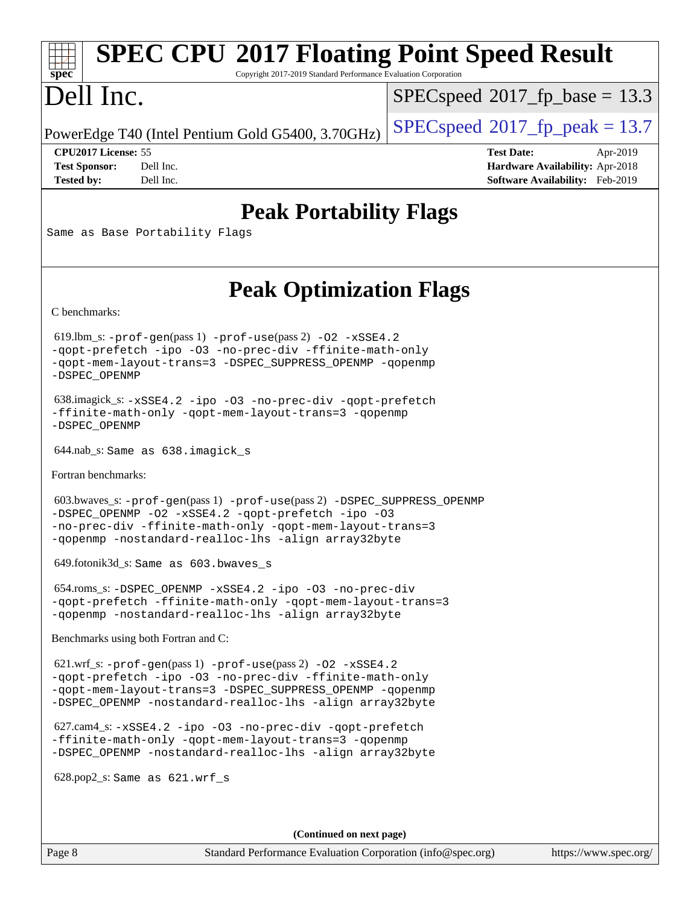# **[SPEC CPU](http://www.spec.org/auto/cpu2017/Docs/result-fields.html#SPECCPU2017FloatingPointSpeedResult)[2017 Floating Point Speed Result](http://www.spec.org/auto/cpu2017/Docs/result-fields.html#SPECCPU2017FloatingPointSpeedResult)**

Copyright 2017-2019 Standard Performance Evaluation Corporation

# Dell Inc.

**[spec](http://www.spec.org/)**

 $SPECspeed^{\circ}2017\_fp\_base = 13.3$  $SPECspeed^{\circ}2017\_fp\_base = 13.3$ 

PowerEdge T40 (Intel Pentium Gold G5400, 3.70GHz)  $\left|$  [SPECspeed](http://www.spec.org/auto/cpu2017/Docs/result-fields.html#SPECspeed2017fppeak)<sup>®</sup>[2017\\_fp\\_peak = 1](http://www.spec.org/auto/cpu2017/Docs/result-fields.html#SPECspeed2017fppeak)3.7

**[CPU2017 License:](http://www.spec.org/auto/cpu2017/Docs/result-fields.html#CPU2017License)** 55 **[Test Date:](http://www.spec.org/auto/cpu2017/Docs/result-fields.html#TestDate)** Apr-2019 **[Test Sponsor:](http://www.spec.org/auto/cpu2017/Docs/result-fields.html#TestSponsor)** Dell Inc. **[Hardware Availability:](http://www.spec.org/auto/cpu2017/Docs/result-fields.html#HardwareAvailability)** Apr-2018 **[Tested by:](http://www.spec.org/auto/cpu2017/Docs/result-fields.html#Testedby)** Dell Inc. **[Software Availability:](http://www.spec.org/auto/cpu2017/Docs/result-fields.html#SoftwareAvailability)** Feb-2019

### **[Peak Portability Flags](http://www.spec.org/auto/cpu2017/Docs/result-fields.html#PeakPortabilityFlags)**

Same as Base Portability Flags

## **[Peak Optimization Flags](http://www.spec.org/auto/cpu2017/Docs/result-fields.html#PeakOptimizationFlags)**

[C benchmarks](http://www.spec.org/auto/cpu2017/Docs/result-fields.html#Cbenchmarks):

 619.lbm\_s: [-prof-gen](http://www.spec.org/cpu2017/results/res2019q3/cpu2017-20190831-17325.flags.html#user_peakPASS1_CFLAGSPASS1_LDFLAGS619_lbm_s_prof_gen_5aa4926d6013ddb2a31985c654b3eb18169fc0c6952a63635c234f711e6e63dd76e94ad52365559451ec499a2cdb89e4dc58ba4c67ef54ca681ffbe1461d6b36)(pass 1) [-prof-use](http://www.spec.org/cpu2017/results/res2019q3/cpu2017-20190831-17325.flags.html#user_peakPASS2_CFLAGSPASS2_LDFLAGS619_lbm_s_prof_use_1a21ceae95f36a2b53c25747139a6c16ca95bd9def2a207b4f0849963b97e94f5260e30a0c64f4bb623698870e679ca08317ef8150905d41bd88c6f78df73f19)(pass 2) [-O2](http://www.spec.org/cpu2017/results/res2019q3/cpu2017-20190831-17325.flags.html#user_peakPASS1_COPTIMIZE619_lbm_s_f-O2) [-xSSE4.2](http://www.spec.org/cpu2017/results/res2019q3/cpu2017-20190831-17325.flags.html#user_peakPASS2_COPTIMIZE619_lbm_s_f-xSSE42_d85b2ac37ddc90662d11f1a4a8dc959d40ee6b8c1b95cdec45efdeb6594938334ecec49699063ec518cad6ffb0ae5f89c6821e9beeb549020603d53f71a41bf5) [-qopt-prefetch](http://www.spec.org/cpu2017/results/res2019q3/cpu2017-20190831-17325.flags.html#user_peakPASS1_COPTIMIZEPASS2_COPTIMIZE619_lbm_s_f-qopt-prefetch) [-ipo](http://www.spec.org/cpu2017/results/res2019q3/cpu2017-20190831-17325.flags.html#user_peakPASS2_COPTIMIZE619_lbm_s_f-ipo) [-O3](http://www.spec.org/cpu2017/results/res2019q3/cpu2017-20190831-17325.flags.html#user_peakPASS2_COPTIMIZE619_lbm_s_f-O3) [-no-prec-div](http://www.spec.org/cpu2017/results/res2019q3/cpu2017-20190831-17325.flags.html#user_peakPASS2_COPTIMIZE619_lbm_s_f-no-prec-div) [-ffinite-math-only](http://www.spec.org/cpu2017/results/res2019q3/cpu2017-20190831-17325.flags.html#user_peakPASS1_COPTIMIZEPASS2_COPTIMIZE619_lbm_s_f_finite_math_only_cb91587bd2077682c4b38af759c288ed7c732db004271a9512da14a4f8007909a5f1427ecbf1a0fb78ff2a814402c6114ac565ca162485bbcae155b5e4258871) [-qopt-mem-layout-trans=3](http://www.spec.org/cpu2017/results/res2019q3/cpu2017-20190831-17325.flags.html#user_peakPASS1_COPTIMIZEPASS2_COPTIMIZE619_lbm_s_f-qopt-mem-layout-trans) [-DSPEC\\_SUPPRESS\\_OPENMP](http://www.spec.org/cpu2017/results/res2019q3/cpu2017-20190831-17325.flags.html#suite_peakPASS1_COPTIMIZE619_lbm_s_DSPEC_SUPPRESS_OPENMP) [-qopenmp](http://www.spec.org/cpu2017/results/res2019q3/cpu2017-20190831-17325.flags.html#user_peakPASS2_COPTIMIZE619_lbm_s_qopenmp_16be0c44f24f464004c6784a7acb94aca937f053568ce72f94b139a11c7c168634a55f6653758ddd83bcf7b8463e8028bb0b48b77bcddc6b78d5d95bb1df2967) [-DSPEC\\_OPENMP](http://www.spec.org/cpu2017/results/res2019q3/cpu2017-20190831-17325.flags.html#suite_peakPASS2_COPTIMIZE619_lbm_s_DSPEC_OPENMP)

 638.imagick\_s: [-xSSE4.2](http://www.spec.org/cpu2017/results/res2019q3/cpu2017-20190831-17325.flags.html#user_peakCOPTIMIZE638_imagick_s_f-xSSE42_d85b2ac37ddc90662d11f1a4a8dc959d40ee6b8c1b95cdec45efdeb6594938334ecec49699063ec518cad6ffb0ae5f89c6821e9beeb549020603d53f71a41bf5) [-ipo](http://www.spec.org/cpu2017/results/res2019q3/cpu2017-20190831-17325.flags.html#user_peakCOPTIMIZE638_imagick_s_f-ipo) [-O3](http://www.spec.org/cpu2017/results/res2019q3/cpu2017-20190831-17325.flags.html#user_peakCOPTIMIZE638_imagick_s_f-O3) [-no-prec-div](http://www.spec.org/cpu2017/results/res2019q3/cpu2017-20190831-17325.flags.html#user_peakCOPTIMIZE638_imagick_s_f-no-prec-div) [-qopt-prefetch](http://www.spec.org/cpu2017/results/res2019q3/cpu2017-20190831-17325.flags.html#user_peakCOPTIMIZE638_imagick_s_f-qopt-prefetch) [-ffinite-math-only](http://www.spec.org/cpu2017/results/res2019q3/cpu2017-20190831-17325.flags.html#user_peakCOPTIMIZE638_imagick_s_f_finite_math_only_cb91587bd2077682c4b38af759c288ed7c732db004271a9512da14a4f8007909a5f1427ecbf1a0fb78ff2a814402c6114ac565ca162485bbcae155b5e4258871) [-qopt-mem-layout-trans=3](http://www.spec.org/cpu2017/results/res2019q3/cpu2017-20190831-17325.flags.html#user_peakCOPTIMIZE638_imagick_s_f-qopt-mem-layout-trans) [-qopenmp](http://www.spec.org/cpu2017/results/res2019q3/cpu2017-20190831-17325.flags.html#user_peakCOPTIMIZE638_imagick_s_qopenmp_16be0c44f24f464004c6784a7acb94aca937f053568ce72f94b139a11c7c168634a55f6653758ddd83bcf7b8463e8028bb0b48b77bcddc6b78d5d95bb1df2967) [-DSPEC\\_OPENMP](http://www.spec.org/cpu2017/results/res2019q3/cpu2017-20190831-17325.flags.html#suite_peakCOPTIMIZE638_imagick_s_DSPEC_OPENMP)

644.nab\_s: Same as 638.imagick\_s

[Fortran benchmarks](http://www.spec.org/auto/cpu2017/Docs/result-fields.html#Fortranbenchmarks):

 603.bwaves\_s: [-prof-gen](http://www.spec.org/cpu2017/results/res2019q3/cpu2017-20190831-17325.flags.html#user_peakPASS1_FFLAGSPASS1_LDFLAGS603_bwaves_s_prof_gen_5aa4926d6013ddb2a31985c654b3eb18169fc0c6952a63635c234f711e6e63dd76e94ad52365559451ec499a2cdb89e4dc58ba4c67ef54ca681ffbe1461d6b36)(pass 1) [-prof-use](http://www.spec.org/cpu2017/results/res2019q3/cpu2017-20190831-17325.flags.html#user_peakPASS2_FFLAGSPASS2_LDFLAGS603_bwaves_s_prof_use_1a21ceae95f36a2b53c25747139a6c16ca95bd9def2a207b4f0849963b97e94f5260e30a0c64f4bb623698870e679ca08317ef8150905d41bd88c6f78df73f19)(pass 2) [-DSPEC\\_SUPPRESS\\_OPENMP](http://www.spec.org/cpu2017/results/res2019q3/cpu2017-20190831-17325.flags.html#suite_peakPASS1_FOPTIMIZE603_bwaves_s_DSPEC_SUPPRESS_OPENMP) [-DSPEC\\_OPENMP](http://www.spec.org/cpu2017/results/res2019q3/cpu2017-20190831-17325.flags.html#suite_peakPASS2_FOPTIMIZE603_bwaves_s_DSPEC_OPENMP) [-O2](http://www.spec.org/cpu2017/results/res2019q3/cpu2017-20190831-17325.flags.html#user_peakPASS1_FOPTIMIZE603_bwaves_s_f-O2) [-xSSE4.2](http://www.spec.org/cpu2017/results/res2019q3/cpu2017-20190831-17325.flags.html#user_peakPASS2_FOPTIMIZE603_bwaves_s_f-xSSE42_d85b2ac37ddc90662d11f1a4a8dc959d40ee6b8c1b95cdec45efdeb6594938334ecec49699063ec518cad6ffb0ae5f89c6821e9beeb549020603d53f71a41bf5) [-qopt-prefetch](http://www.spec.org/cpu2017/results/res2019q3/cpu2017-20190831-17325.flags.html#user_peakPASS1_FOPTIMIZEPASS2_FOPTIMIZE603_bwaves_s_f-qopt-prefetch) [-ipo](http://www.spec.org/cpu2017/results/res2019q3/cpu2017-20190831-17325.flags.html#user_peakPASS2_FOPTIMIZE603_bwaves_s_f-ipo) [-O3](http://www.spec.org/cpu2017/results/res2019q3/cpu2017-20190831-17325.flags.html#user_peakPASS2_FOPTIMIZE603_bwaves_s_f-O3) [-no-prec-div](http://www.spec.org/cpu2017/results/res2019q3/cpu2017-20190831-17325.flags.html#user_peakPASS2_FOPTIMIZE603_bwaves_s_f-no-prec-div) [-ffinite-math-only](http://www.spec.org/cpu2017/results/res2019q3/cpu2017-20190831-17325.flags.html#user_peakPASS1_FOPTIMIZEPASS2_FOPTIMIZE603_bwaves_s_f_finite_math_only_cb91587bd2077682c4b38af759c288ed7c732db004271a9512da14a4f8007909a5f1427ecbf1a0fb78ff2a814402c6114ac565ca162485bbcae155b5e4258871) [-qopt-mem-layout-trans=3](http://www.spec.org/cpu2017/results/res2019q3/cpu2017-20190831-17325.flags.html#user_peakPASS1_FOPTIMIZEPASS2_FOPTIMIZE603_bwaves_s_f-qopt-mem-layout-trans) [-qopenmp](http://www.spec.org/cpu2017/results/res2019q3/cpu2017-20190831-17325.flags.html#user_peakPASS2_FOPTIMIZE603_bwaves_s_qopenmp_16be0c44f24f464004c6784a7acb94aca937f053568ce72f94b139a11c7c168634a55f6653758ddd83bcf7b8463e8028bb0b48b77bcddc6b78d5d95bb1df2967) [-nostandard-realloc-lhs](http://www.spec.org/cpu2017/results/res2019q3/cpu2017-20190831-17325.flags.html#user_peakEXTRA_FOPTIMIZE603_bwaves_s_f_2003_std_realloc_82b4557e90729c0f113870c07e44d33d6f5a304b4f63d4c15d2d0f1fab99f5daaed73bdb9275d9ae411527f28b936061aa8b9c8f2d63842963b95c9dd6426b8a) [-align array32byte](http://www.spec.org/cpu2017/results/res2019q3/cpu2017-20190831-17325.flags.html#user_peakEXTRA_FOPTIMIZE603_bwaves_s_align_array32byte_b982fe038af199962ba9a80c053b8342c548c85b40b8e86eb3cc33dee0d7986a4af373ac2d51c3f7cf710a18d62fdce2948f201cd044323541f22fc0fffc51b6)

649.fotonik3d\_s: Same as 603.bwaves\_s

 654.roms\_s: [-DSPEC\\_OPENMP](http://www.spec.org/cpu2017/results/res2019q3/cpu2017-20190831-17325.flags.html#suite_peakFOPTIMIZE654_roms_s_DSPEC_OPENMP) [-xSSE4.2](http://www.spec.org/cpu2017/results/res2019q3/cpu2017-20190831-17325.flags.html#user_peakFOPTIMIZE654_roms_s_f-xSSE42_d85b2ac37ddc90662d11f1a4a8dc959d40ee6b8c1b95cdec45efdeb6594938334ecec49699063ec518cad6ffb0ae5f89c6821e9beeb549020603d53f71a41bf5) [-ipo](http://www.spec.org/cpu2017/results/res2019q3/cpu2017-20190831-17325.flags.html#user_peakFOPTIMIZE654_roms_s_f-ipo) [-O3](http://www.spec.org/cpu2017/results/res2019q3/cpu2017-20190831-17325.flags.html#user_peakFOPTIMIZE654_roms_s_f-O3) [-no-prec-div](http://www.spec.org/cpu2017/results/res2019q3/cpu2017-20190831-17325.flags.html#user_peakFOPTIMIZE654_roms_s_f-no-prec-div) [-qopt-prefetch](http://www.spec.org/cpu2017/results/res2019q3/cpu2017-20190831-17325.flags.html#user_peakFOPTIMIZE654_roms_s_f-qopt-prefetch) [-ffinite-math-only](http://www.spec.org/cpu2017/results/res2019q3/cpu2017-20190831-17325.flags.html#user_peakFOPTIMIZE654_roms_s_f_finite_math_only_cb91587bd2077682c4b38af759c288ed7c732db004271a9512da14a4f8007909a5f1427ecbf1a0fb78ff2a814402c6114ac565ca162485bbcae155b5e4258871) [-qopt-mem-layout-trans=3](http://www.spec.org/cpu2017/results/res2019q3/cpu2017-20190831-17325.flags.html#user_peakFOPTIMIZE654_roms_s_f-qopt-mem-layout-trans) [-qopenmp](http://www.spec.org/cpu2017/results/res2019q3/cpu2017-20190831-17325.flags.html#user_peakFOPTIMIZE654_roms_s_qopenmp_16be0c44f24f464004c6784a7acb94aca937f053568ce72f94b139a11c7c168634a55f6653758ddd83bcf7b8463e8028bb0b48b77bcddc6b78d5d95bb1df2967) [-nostandard-realloc-lhs](http://www.spec.org/cpu2017/results/res2019q3/cpu2017-20190831-17325.flags.html#user_peakEXTRA_FOPTIMIZE654_roms_s_f_2003_std_realloc_82b4557e90729c0f113870c07e44d33d6f5a304b4f63d4c15d2d0f1fab99f5daaed73bdb9275d9ae411527f28b936061aa8b9c8f2d63842963b95c9dd6426b8a) [-align array32byte](http://www.spec.org/cpu2017/results/res2019q3/cpu2017-20190831-17325.flags.html#user_peakEXTRA_FOPTIMIZE654_roms_s_align_array32byte_b982fe038af199962ba9a80c053b8342c548c85b40b8e86eb3cc33dee0d7986a4af373ac2d51c3f7cf710a18d62fdce2948f201cd044323541f22fc0fffc51b6)

[Benchmarks using both Fortran and C](http://www.spec.org/auto/cpu2017/Docs/result-fields.html#BenchmarksusingbothFortranandC):

 621.wrf\_s: [-prof-gen](http://www.spec.org/cpu2017/results/res2019q3/cpu2017-20190831-17325.flags.html#user_peakPASS1_CFLAGSPASS1_FFLAGSPASS1_LDFLAGS621_wrf_s_prof_gen_5aa4926d6013ddb2a31985c654b3eb18169fc0c6952a63635c234f711e6e63dd76e94ad52365559451ec499a2cdb89e4dc58ba4c67ef54ca681ffbe1461d6b36)(pass 1) [-prof-use](http://www.spec.org/cpu2017/results/res2019q3/cpu2017-20190831-17325.flags.html#user_peakPASS2_CFLAGSPASS2_FFLAGSPASS2_LDFLAGS621_wrf_s_prof_use_1a21ceae95f36a2b53c25747139a6c16ca95bd9def2a207b4f0849963b97e94f5260e30a0c64f4bb623698870e679ca08317ef8150905d41bd88c6f78df73f19)(pass 2) [-O2](http://www.spec.org/cpu2017/results/res2019q3/cpu2017-20190831-17325.flags.html#user_peakPASS1_COPTIMIZEPASS1_FOPTIMIZE621_wrf_s_f-O2) [-xSSE4.2](http://www.spec.org/cpu2017/results/res2019q3/cpu2017-20190831-17325.flags.html#user_peakPASS2_COPTIMIZEPASS2_FOPTIMIZE621_wrf_s_f-xSSE42_d85b2ac37ddc90662d11f1a4a8dc959d40ee6b8c1b95cdec45efdeb6594938334ecec49699063ec518cad6ffb0ae5f89c6821e9beeb549020603d53f71a41bf5) [-qopt-prefetch](http://www.spec.org/cpu2017/results/res2019q3/cpu2017-20190831-17325.flags.html#user_peakPASS1_COPTIMIZEPASS1_FOPTIMIZEPASS2_COPTIMIZEPASS2_FOPTIMIZE621_wrf_s_f-qopt-prefetch) [-ipo](http://www.spec.org/cpu2017/results/res2019q3/cpu2017-20190831-17325.flags.html#user_peakPASS2_COPTIMIZEPASS2_FOPTIMIZE621_wrf_s_f-ipo) [-O3](http://www.spec.org/cpu2017/results/res2019q3/cpu2017-20190831-17325.flags.html#user_peakPASS2_COPTIMIZEPASS2_FOPTIMIZE621_wrf_s_f-O3) [-no-prec-div](http://www.spec.org/cpu2017/results/res2019q3/cpu2017-20190831-17325.flags.html#user_peakPASS2_COPTIMIZEPASS2_FOPTIMIZE621_wrf_s_f-no-prec-div) [-ffinite-math-only](http://www.spec.org/cpu2017/results/res2019q3/cpu2017-20190831-17325.flags.html#user_peakPASS1_COPTIMIZEPASS1_FOPTIMIZEPASS2_COPTIMIZEPASS2_FOPTIMIZE621_wrf_s_f_finite_math_only_cb91587bd2077682c4b38af759c288ed7c732db004271a9512da14a4f8007909a5f1427ecbf1a0fb78ff2a814402c6114ac565ca162485bbcae155b5e4258871) [-qopt-mem-layout-trans=3](http://www.spec.org/cpu2017/results/res2019q3/cpu2017-20190831-17325.flags.html#user_peakPASS1_COPTIMIZEPASS1_FOPTIMIZEPASS2_COPTIMIZEPASS2_FOPTIMIZE621_wrf_s_f-qopt-mem-layout-trans) [-DSPEC\\_SUPPRESS\\_OPENMP](http://www.spec.org/cpu2017/results/res2019q3/cpu2017-20190831-17325.flags.html#suite_peakPASS1_COPTIMIZEPASS1_FOPTIMIZE621_wrf_s_DSPEC_SUPPRESS_OPENMP) [-qopenmp](http://www.spec.org/cpu2017/results/res2019q3/cpu2017-20190831-17325.flags.html#user_peakPASS2_COPTIMIZEPASS2_FOPTIMIZE621_wrf_s_qopenmp_16be0c44f24f464004c6784a7acb94aca937f053568ce72f94b139a11c7c168634a55f6653758ddd83bcf7b8463e8028bb0b48b77bcddc6b78d5d95bb1df2967) [-DSPEC\\_OPENMP](http://www.spec.org/cpu2017/results/res2019q3/cpu2017-20190831-17325.flags.html#suite_peakPASS2_COPTIMIZEPASS2_FOPTIMIZE621_wrf_s_DSPEC_OPENMP) [-nostandard-realloc-lhs](http://www.spec.org/cpu2017/results/res2019q3/cpu2017-20190831-17325.flags.html#user_peakEXTRA_FOPTIMIZE621_wrf_s_f_2003_std_realloc_82b4557e90729c0f113870c07e44d33d6f5a304b4f63d4c15d2d0f1fab99f5daaed73bdb9275d9ae411527f28b936061aa8b9c8f2d63842963b95c9dd6426b8a) [-align array32byte](http://www.spec.org/cpu2017/results/res2019q3/cpu2017-20190831-17325.flags.html#user_peakEXTRA_FOPTIMIZE621_wrf_s_align_array32byte_b982fe038af199962ba9a80c053b8342c548c85b40b8e86eb3cc33dee0d7986a4af373ac2d51c3f7cf710a18d62fdce2948f201cd044323541f22fc0fffc51b6)

 627.cam4\_s: [-xSSE4.2](http://www.spec.org/cpu2017/results/res2019q3/cpu2017-20190831-17325.flags.html#user_peakCOPTIMIZEFOPTIMIZE627_cam4_s_f-xSSE42_d85b2ac37ddc90662d11f1a4a8dc959d40ee6b8c1b95cdec45efdeb6594938334ecec49699063ec518cad6ffb0ae5f89c6821e9beeb549020603d53f71a41bf5) [-ipo](http://www.spec.org/cpu2017/results/res2019q3/cpu2017-20190831-17325.flags.html#user_peakCOPTIMIZEFOPTIMIZE627_cam4_s_f-ipo) [-O3](http://www.spec.org/cpu2017/results/res2019q3/cpu2017-20190831-17325.flags.html#user_peakCOPTIMIZEFOPTIMIZE627_cam4_s_f-O3) [-no-prec-div](http://www.spec.org/cpu2017/results/res2019q3/cpu2017-20190831-17325.flags.html#user_peakCOPTIMIZEFOPTIMIZE627_cam4_s_f-no-prec-div) [-qopt-prefetch](http://www.spec.org/cpu2017/results/res2019q3/cpu2017-20190831-17325.flags.html#user_peakCOPTIMIZEFOPTIMIZE627_cam4_s_f-qopt-prefetch) [-ffinite-math-only](http://www.spec.org/cpu2017/results/res2019q3/cpu2017-20190831-17325.flags.html#user_peakCOPTIMIZEFOPTIMIZE627_cam4_s_f_finite_math_only_cb91587bd2077682c4b38af759c288ed7c732db004271a9512da14a4f8007909a5f1427ecbf1a0fb78ff2a814402c6114ac565ca162485bbcae155b5e4258871) [-qopt-mem-layout-trans=3](http://www.spec.org/cpu2017/results/res2019q3/cpu2017-20190831-17325.flags.html#user_peakCOPTIMIZEFOPTIMIZE627_cam4_s_f-qopt-mem-layout-trans) [-qopenmp](http://www.spec.org/cpu2017/results/res2019q3/cpu2017-20190831-17325.flags.html#user_peakCOPTIMIZEFOPTIMIZE627_cam4_s_qopenmp_16be0c44f24f464004c6784a7acb94aca937f053568ce72f94b139a11c7c168634a55f6653758ddd83bcf7b8463e8028bb0b48b77bcddc6b78d5d95bb1df2967) [-DSPEC\\_OPENMP](http://www.spec.org/cpu2017/results/res2019q3/cpu2017-20190831-17325.flags.html#suite_peakCOPTIMIZEFOPTIMIZE627_cam4_s_DSPEC_OPENMP) [-nostandard-realloc-lhs](http://www.spec.org/cpu2017/results/res2019q3/cpu2017-20190831-17325.flags.html#user_peakEXTRA_FOPTIMIZE627_cam4_s_f_2003_std_realloc_82b4557e90729c0f113870c07e44d33d6f5a304b4f63d4c15d2d0f1fab99f5daaed73bdb9275d9ae411527f28b936061aa8b9c8f2d63842963b95c9dd6426b8a) [-align array32byte](http://www.spec.org/cpu2017/results/res2019q3/cpu2017-20190831-17325.flags.html#user_peakEXTRA_FOPTIMIZE627_cam4_s_align_array32byte_b982fe038af199962ba9a80c053b8342c548c85b40b8e86eb3cc33dee0d7986a4af373ac2d51c3f7cf710a18d62fdce2948f201cd044323541f22fc0fffc51b6)

628.pop2\_s: Same as 621.wrf\_s

**(Continued on next page)**